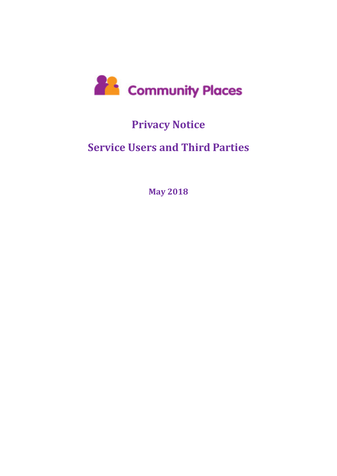

# **Privacy Notice**

# **Service Users and Third Parties**

**May 2018**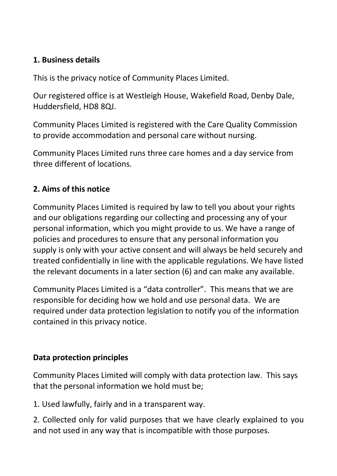### **1. Business details**

This is the privacy notice of Community Places Limited.

Our registered office is at Westleigh House, Wakefield Road, Denby Dale, Huddersfield, HD8 8QJ.

Community Places Limited is registered with the Care Quality Commission to provide accommodation and personal care without nursing.

Community Places Limited runs three care homes and a day service from three different of locations.

# **2. Aims of this notice**

Community Places Limited is required by law to tell you about your rights and our obligations regarding our collecting and processing any of your personal information, which you might provide to us. We have a range of policies and procedures to ensure that any personal information you supply is only with your active consent and will always be held securely and treated confidentially in line with the applicable regulations. We have listed the relevant documents in a later section (6) and can make any available.

Community Places Limited is a "data controller". This means that we are responsible for deciding how we hold and use personal data. We are required under data protection legislation to notify you of the information contained in this privacy notice.

## **Data protection principles**

Community Places Limited will comply with data protection law. This says that the personal information we hold must be;

1. Used lawfully, fairly and in a transparent way.

2. Collected only for valid purposes that we have clearly explained to you and not used in any way that is incompatible with those purposes.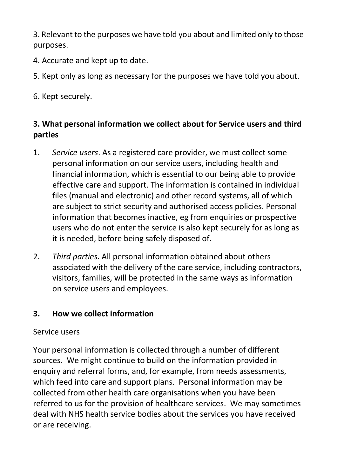3. Relevant to the purposes we have told you about and limited only to those purposes.

- 4. Accurate and kept up to date.
- 5. Kept only as long as necessary for the purposes we have told you about.
- 6. Kept securely.

### **3. What personal information we collect about for Service users and third parties**

- 1. *Service users*. As a registered care provider, we must collect some personal information on our service users, including health and financial information, which is essential to our being able to provide effective care and support. The information is contained in individual files (manual and electronic) and other record systems, all of which are subject to strict security and authorised access policies. Personal information that becomes inactive, eg from enquiries or prospective users who do not enter the service is also kept securely for as long as it is needed, before being safely disposed of.
- 2. *Third parties*. All personal information obtained about others associated with the delivery of the care service, including contractors, visitors, families, will be protected in the same ways as information on service users and employees.

#### **3. How we collect information**

#### Service users

Your personal information is collected through a number of different sources. We might continue to build on the information provided in enquiry and referral forms, and, for example, from needs assessments, which feed into care and support plans. Personal information may be collected from other health care organisations when you have been referred to us for the provision of healthcare services. We may sometimes deal with NHS health service bodies about the services you have received or are receiving.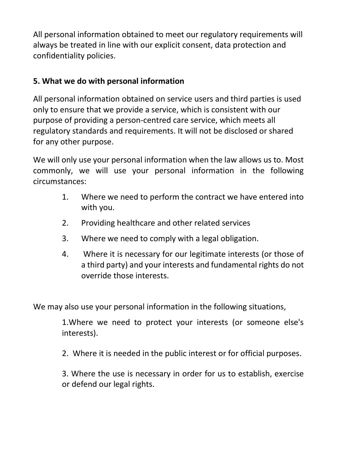All personal information obtained to meet our regulatory requirements will always be treated in line with our explicit consent, data protection and confidentiality policies.

### **5. What we do with personal information**

All personal information obtained on service users and third parties is used only to ensure that we provide a service, which is consistent with our purpose of providing a person-centred care service, which meets all regulatory standards and requirements. It will not be disclosed or shared for any other purpose.

We will only use your personal information when the law allows us to. Most commonly, we will use your personal information in the following circumstances:

- 1. Where we need to perform the contract we have entered into with you.
- 2. Providing healthcare and other related services
- 3. Where we need to comply with a legal obligation.
- 4. Where it is necessary for our legitimate interests (or those of a third party) and your interests and fundamental rights do not override those interests.

We may also use your personal information in the following situations,

1.Where we need to protect your interests (or someone else's interests).

2. Where it is needed in the public interest or for official purposes.

3. Where the use is necessary in order for us to establish, exercise or defend our legal rights.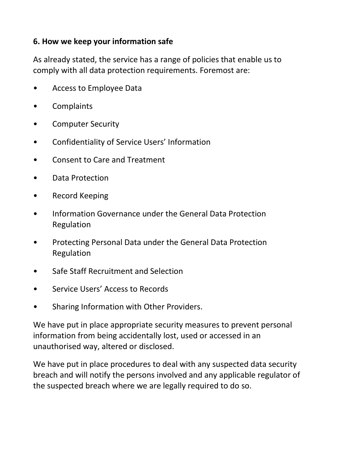#### **6. How we keep your information safe**

As already stated, the service has a range of policies that enable us to comply with all data protection requirements. Foremost are:

- [Access to Employee Data](https://app.croneri.co.uk/topics/staff-handbooks-data-protection-confidentiality/access-employee-data-policy?product=13#DCAM-251589)
- [Complaints](https://app.croneri.co.uk/topics/complaints-and-compliments/complaints-policy?product=13#DCAM-1337530)
- [Computer Security](https://app.croneri.co.uk/topics/data-protection-email-internet-and-social-media/computer-security-policy?product=13#DCAM-263070)
- [Confidentiality of Service Users' Information](https://app.croneri.co.uk/topics/confidentiality/confidentiality-service-users-information-policy?product=13#DCAM-1343649)
- [Consent to Care and Treatment](https://app.croneri.co.uk/topics/consent-care-and-treatment/consent-care-and-treatment-policy?product=13#DCAM-4825657)
- Data Protection
- [Record Keeping](https://app.croneri.co.uk/topics/confidentiality-record-keeping/record-keeping-policy?product=13#DCAM-1343619)
- [Information Governance under the General Data Protection](https://app.croneri.co.uk/topics/effective-communication-record-keeping/information-governance-under-general-data-protection?product=13#WKID-201705080632000604-05773589)  [Regulation](https://app.croneri.co.uk/topics/effective-communication-record-keeping/information-governance-under-general-data-protection?product=13#WKID-201705080632000604-05773589)
- [Protecting Personal Data under the General Data Protection](https://app.croneri.co.uk/topics/data-protection-confidentiality-record-keeping/protecting-personal-data-under-general-data?product=13#DCAM-4966100)  [Regulation](https://app.croneri.co.uk/topics/data-protection-confidentiality-record-keeping/protecting-personal-data-under-general-data?product=13#DCAM-4966100)
- [Safe Staff Recruitment and Selection](https://app.croneri.co.uk/topics/recruitment-and-selection-finding-and-keeping-staff-selecting-and-appointing-staff-care?product=13#DCAM-2064570)
- Service Users' Access to Records
- [Sharing Information with Other Providers.](https://app.croneri.co.uk/topics/confidentiality-working-other-providers-and-agencies/sharing-information-other-providers?product=13#DCAM-4996352)

We have put in place appropriate security measures to prevent personal information from being accidentally lost, used or accessed in an unauthorised way, altered or disclosed.

We have put in place procedures to deal with any suspected data security breach and will notify the persons involved and any applicable regulator of the suspected breach where we are legally required to do so.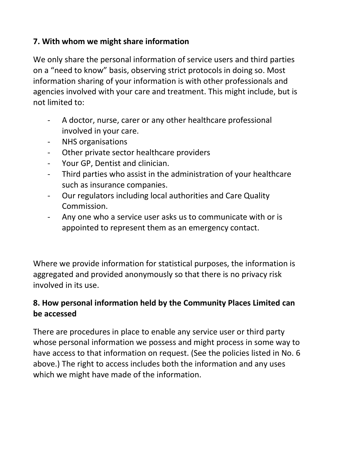### **7. With whom we might share information**

We only share the personal information of service users and third parties on a "need to know" basis, observing strict protocols in doing so. Most information sharing of your information is with other professionals and agencies involved with your care and treatment. This might include, but is not limited to:

- A doctor, nurse, carer or any other healthcare professional involved in your care.
- NHS organisations
- Other private sector healthcare providers
- Your GP, Dentist and clinician.
- Third parties who assist in the administration of your healthcare such as insurance companies.
- Our regulators including local authorities and Care Quality Commission.
- Any one who a service user asks us to communicate with or is appointed to represent them as an emergency contact.

Where we provide information for statistical purposes, the information is aggregated and provided anonymously so that there is no privacy risk involved in its use.

### **8. How personal information held by the Community Places Limited can be accessed**

There are procedures in place to enable any service user or third party whose personal information we possess and might process in some way to have access to that information on request. (See the policies listed in No. 6 above.) The right to access includes both the information and any uses which we might have made of the information.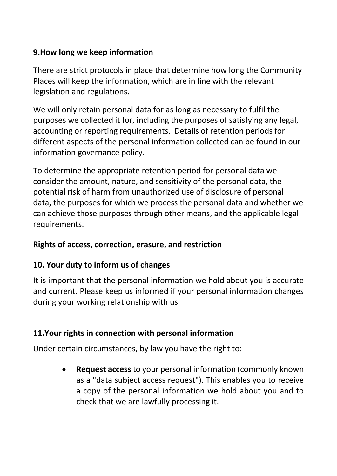### **9.How long we keep information**

There are strict protocols in place that determine how long the Community Places will keep the information, which are in line with the relevant legislation and regulations.

We will only retain personal data for as long as necessary to fulfil the purposes we collected it for, including the purposes of satisfying any legal, accounting or reporting requirements. Details of retention periods for different aspects of the personal information collected can be found in our information governance policy.

To determine the appropriate retention period for personal data we consider the amount, nature, and sensitivity of the personal data, the potential risk of harm from unauthorized use of disclosure of personal data, the purposes for which we process the personal data and whether we can achieve those purposes through other means, and the applicable legal requirements.

#### **Rights of access, correction, erasure, and restriction**

#### **10. Your duty to inform us of changes**

It is important that the personal information we hold about you is accurate and current. Please keep us informed if your personal information changes during your working relationship with us.

#### **11.Your rights in connection with personal information**

Under certain circumstances, by law you have the right to:

• **Request access** to your personal information (commonly known as a "data subject access request"). This enables you to receive a copy of the personal information we hold about you and to check that we are lawfully processing it.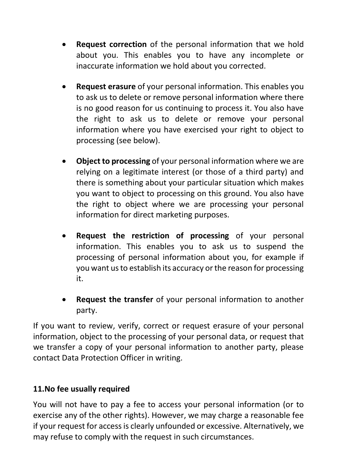- **Request correction** of the personal information that we hold about you. This enables you to have any incomplete or inaccurate information we hold about you corrected.
- **Request erasure** of your personal information. This enables you to ask us to delete or remove personal information where there is no good reason for us continuing to process it. You also have the right to ask us to delete or remove your personal information where you have exercised your right to object to processing (see below).
- **Object to processing** of your personal information where we are relying on a legitimate interest (or those of a third party) and there is something about your particular situation which makes you want to object to processing on this ground. You also have the right to object where we are processing your personal information for direct marketing purposes.
- **Request the restriction of processing** of your personal information. This enables you to ask us to suspend the processing of personal information about you, for example if you want us to establish its accuracy or the reason for processing it.
- **Request the transfer** of your personal information to another party.

If you want to review, verify, correct or request erasure of your personal information, object to the processing of your personal data, or request that we transfer a copy of your personal information to another party, please contact Data Protection Officer in writing.

#### **11.No fee usually required**

You will not have to pay a fee to access your personal information (or to exercise any of the other rights). However, we may charge a reasonable fee if your request for access is clearly unfounded or excessive. Alternatively, we may refuse to comply with the request in such circumstances.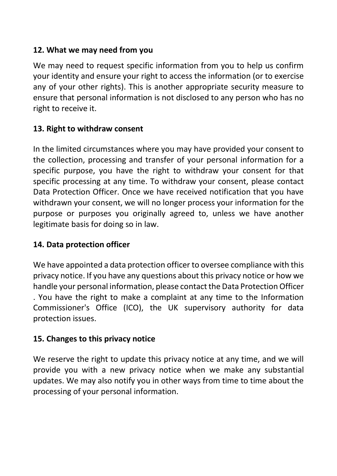#### **12. What we may need from you**

We may need to request specific information from you to help us confirm your identity and ensure your right to access the information (or to exercise any of your other rights). This is another appropriate security measure to ensure that personal information is not disclosed to any person who has no right to receive it.

#### **13. Right to withdraw consent**

In the limited circumstances where you may have provided your consent to the collection, processing and transfer of your personal information for a specific purpose, you have the right to withdraw your consent for that specific processing at any time. To withdraw your consent, please contact Data Protection Officer. Once we have received notification that you have withdrawn your consent, we will no longer process your information for the purpose or purposes you originally agreed to, unless we have another legitimate basis for doing so in law.

#### **14. Data protection officer**

We have appointed a data protection officer to oversee compliance with this privacy notice. If you have any questions about this privacy notice or how we handle your personal information, please contact the Data Protection Officer . You have the right to make a complaint at any time to the Information Commissioner's Office (ICO), the UK supervisory authority for data protection issues.

#### **15. Changes to this privacy notice**

We reserve the right to update this privacy notice at any time, and we will provide you with a new privacy notice when we make any substantial updates. We may also notify you in other ways from time to time about the processing of your personal information.